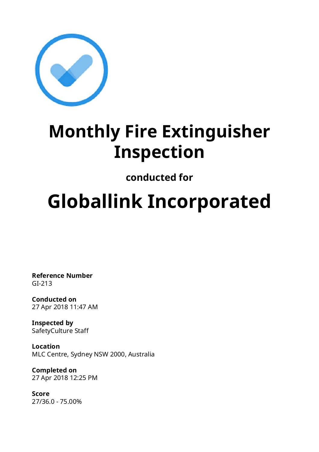

# **Monthly Fire Extinguisher Inspection**

# **conducted for**

# **Globallink Incorporated**

**Reference Number** GI-213

**Conducted on** 27 Apr 2018 11:47 AM

**Inspected by** SafetyCulture Staff

**Location** MLC Centre, Sydney NSW 2000, Australia

**Completed on** 27 Apr 2018 12:25 PM

**Score** 27/36.0 - 75.00%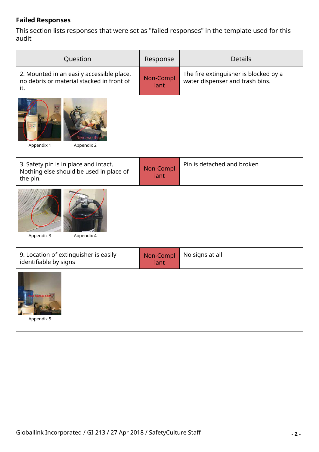#### **Failed Responses**

This section lists responses that were set as "failed responses" in the template used for this audit

| Question                                                                                      | Response          | <b>Details</b>                                                           |  |
|-----------------------------------------------------------------------------------------------|-------------------|--------------------------------------------------------------------------|--|
| 2. Mounted in an easily accessible place,<br>no debris or material stacked in front of<br>it. | Non-Compl<br>iant | The fire extinguisher is blocked by a<br>water dispenser and trash bins. |  |
| Remove th<br>Appendix 2<br>Appendix 1                                                         |                   |                                                                          |  |
| 3. Safety pin is in place and intact.<br>Nothing else should be used in place of<br>the pin.  | Non-Compl<br>iant | Pin is detached and broken                                               |  |
| Appendix 3<br>Appendix 4                                                                      |                   |                                                                          |  |
| 9. Location of extinguisher is easily<br>identifiable by signs                                | Non-Compl<br>iant | No signs at all                                                          |  |
| Appendix 5                                                                                    |                   |                                                                          |  |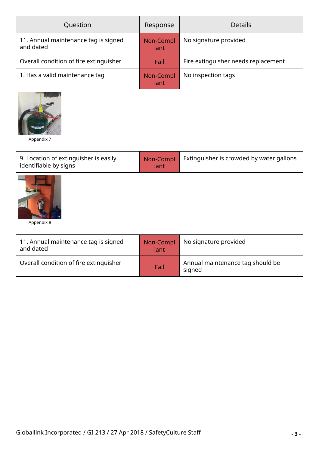| Question                                                       | Response                                | <b>Details</b>                             |  |
|----------------------------------------------------------------|-----------------------------------------|--------------------------------------------|--|
| 11. Annual maintenance tag is signed<br>and dated              | Non-Compl<br>iant                       | No signature provided                      |  |
| Overall condition of fire extinguisher                         | Fail                                    | Fire extinguisher needs replacement        |  |
| 1. Has a valid maintenance tag                                 | No inspection tags<br>Non-Compl<br>iant |                                            |  |
| Appendix 7                                                     |                                         |                                            |  |
| 9. Location of extinguisher is easily<br>identifiable by signs | Non-Compl<br>iant                       | Extinguisher is crowded by water gallons   |  |
| Appendix 8                                                     |                                         |                                            |  |
| 11. Annual maintenance tag is signed<br>and dated              | Non-Compl<br>iant                       | No signature provided                      |  |
| Overall condition of fire extinguisher                         | Fail                                    | Annual maintenance tag should be<br>signed |  |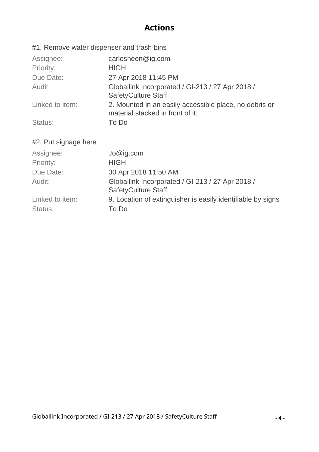### **Actions**

| #1. Remove water dispenser and trash bins |                                                                                            |
|-------------------------------------------|--------------------------------------------------------------------------------------------|
| Assignee:                                 | carlosheen@ig.com                                                                          |
| Priority:                                 | <b>HIGH</b>                                                                                |
| Due Date:                                 | 27 Apr 2018 11:45 PM                                                                       |
| Audit:                                    | Globallink Incorporated / GI-213 / 27 Apr 2018 /<br><b>SafetyCulture Staff</b>             |
| Linked to item:                           | 2. Mounted in an easily accessible place, no debris or<br>material stacked in front of it. |
| Status:                                   | To Do                                                                                      |
| #2. Put signage here                      |                                                                                            |

| Globallink Incorporated / GI-213 / 27 Apr 2018 /            |
|-------------------------------------------------------------|
| 9. Location of extinguisher is easily identifiable by signs |
|                                                             |
|                                                             |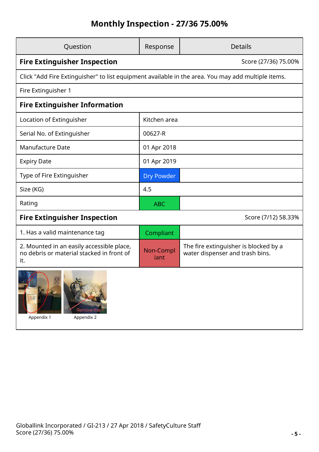## **Monthly Inspection - 27/36 75.00%**

| Question                                                                                           | Response             | <b>Details</b>                                                           |  |  |
|----------------------------------------------------------------------------------------------------|----------------------|--------------------------------------------------------------------------|--|--|
| <b>Fire Extinguisher Inspection</b>                                                                | Score (27/36) 75.00% |                                                                          |  |  |
| Click "Add Fire Extinguisher" to list equipment available in the area. You may add multiple items. |                      |                                                                          |  |  |
| Fire Extinguisher 1                                                                                |                      |                                                                          |  |  |
| <b>Fire Extinguisher Information</b>                                                               |                      |                                                                          |  |  |
| Location of Extinguisher                                                                           | Kitchen area         |                                                                          |  |  |
| Serial No. of Extinguisher                                                                         | 00627-R              |                                                                          |  |  |
| <b>Manufacture Date</b>                                                                            | 01 Apr 2018          |                                                                          |  |  |
| <b>Expiry Date</b>                                                                                 | 01 Apr 2019          |                                                                          |  |  |
| Type of Fire Extinguisher                                                                          | <b>Dry Powder</b>    |                                                                          |  |  |
| Size (KG)                                                                                          | 4.5                  |                                                                          |  |  |
| Rating                                                                                             | <b>ABC</b>           |                                                                          |  |  |
| <b>Fire Extinguisher Inspection</b>                                                                |                      | Score (7/12) 58.33%                                                      |  |  |
| 1. Has a valid maintenance tag                                                                     | Compliant            |                                                                          |  |  |
| 2. Mounted in an easily accessible place,<br>no debris or material stacked in front of<br>it.      | Non-Compl<br>jant    | The fire extinguisher is blocked by a<br>water dispenser and trash bins. |  |  |
| $\mathbf{5}$<br>Remove this!!<br>Appendix 1<br>Appendix 2                                          |                      |                                                                          |  |  |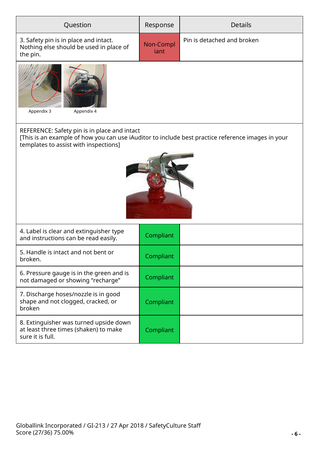| Question                                                                                                                                                                                   | Response          | <b>Details</b>             |  |  |  |
|--------------------------------------------------------------------------------------------------------------------------------------------------------------------------------------------|-------------------|----------------------------|--|--|--|
| 3. Safety pin is in place and intact.<br>Nothing else should be used in place of<br>the pin.                                                                                               | Non-Compl<br>iant | Pin is detached and broken |  |  |  |
| Appendix 3<br>Appendix 4                                                                                                                                                                   |                   |                            |  |  |  |
| REFERENCE: Safety pin is in place and intact<br>[This is an example of how you can use iAuditor to include best practice reference images in your<br>templates to assist with inspections] |                   |                            |  |  |  |
| 4. Label is clear and extinguisher type<br>and instructions can be read easily.                                                                                                            | Compliant         |                            |  |  |  |
| 5. Handle is intact and not bent or<br>broken.                                                                                                                                             | Compliant         |                            |  |  |  |
| 6. Pressure gauge is in the green and is<br>Compliant<br>not damaged or showing "recharge"                                                                                                 |                   |                            |  |  |  |
| 7. Discharge hoses/nozzle is in good<br>shape and not clogged, cracked, or<br>broken                                                                                                       | Compliant         |                            |  |  |  |
| 8. Extinguisher was turned upside down<br>at least three times (shaken) to make<br>Compliant<br>sure it is full.                                                                           |                   |                            |  |  |  |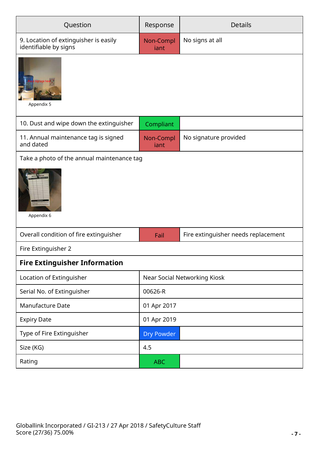| Question                                                       | Response                     | <b>Details</b>                      |  |
|----------------------------------------------------------------|------------------------------|-------------------------------------|--|
| 9. Location of extinguisher is easily<br>identifiable by signs | Non-Compl<br>iant            | No signs at all                     |  |
| Appendix 5                                                     |                              |                                     |  |
| 10. Dust and wipe down the extinguisher                        | Compliant                    |                                     |  |
| 11. Annual maintenance tag is signed<br>and dated              | Non-Compl<br>iant            | No signature provided               |  |
| Take a photo of the annual maintenance tag                     |                              |                                     |  |
| Appendix 6                                                     |                              |                                     |  |
| Overall condition of fire extinguisher                         | Fail                         | Fire extinguisher needs replacement |  |
| Fire Extinguisher 2                                            |                              |                                     |  |
| <b>Fire Extinguisher Information</b>                           |                              |                                     |  |
| Location of Extinguisher                                       | Near Social Networking Kiosk |                                     |  |
| Serial No. of Extinguisher                                     | 00626-R                      |                                     |  |
| Manufacture Date                                               | 01 Apr 2017                  |                                     |  |
| <b>Expiry Date</b>                                             | 01 Apr 2019                  |                                     |  |
| Type of Fire Extinguisher                                      | <b>Dry Powder</b>            |                                     |  |
| Size (KG)                                                      | 4.5                          |                                     |  |
| Rating                                                         | <b>ABC</b>                   |                                     |  |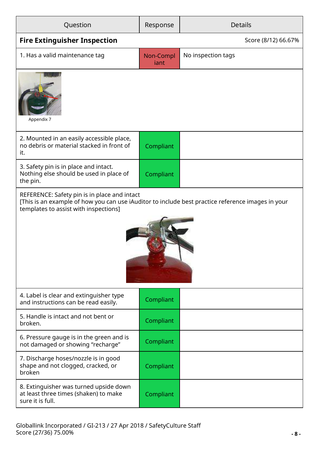| Question                                                                                                                                                                                   | Response          | <b>Details</b>      |  |
|--------------------------------------------------------------------------------------------------------------------------------------------------------------------------------------------|-------------------|---------------------|--|
| <b>Fire Extinguisher Inspection</b>                                                                                                                                                        |                   | Score (8/12) 66.67% |  |
| 1. Has a valid maintenance tag                                                                                                                                                             | Non-Compl<br>iant | No inspection tags  |  |
| Appendix 7                                                                                                                                                                                 |                   |                     |  |
| 2. Mounted in an easily accessible place,<br>no debris or material stacked in front of<br>it.                                                                                              | Compliant         |                     |  |
| 3. Safety pin is in place and intact.<br>Nothing else should be used in place of<br>the pin.                                                                                               | Compliant         |                     |  |
| REFERENCE: Safety pin is in place and intact<br>[This is an example of how you can use iAuditor to include best practice reference images in your<br>templates to assist with inspections] |                   |                     |  |
|                                                                                                                                                                                            |                   |                     |  |
| 4. Label is clear and extinguisher type<br>and instructions can be read easily.                                                                                                            | Compliant         |                     |  |
| 5. Handle is intact and not bent or<br>broken.                                                                                                                                             | Compliant         |                     |  |
| 6. Pressure gauge is in the green and is<br>not damaged or showing "recharge"                                                                                                              | Compliant         |                     |  |
| 7. Discharge hoses/nozzle is in good<br>shape and not clogged, cracked, or<br>broken                                                                                                       | Compliant         |                     |  |
| 8. Extinguisher was turned upside down<br>at least three times (shaken) to make<br>sure it is full.                                                                                        | Compliant         |                     |  |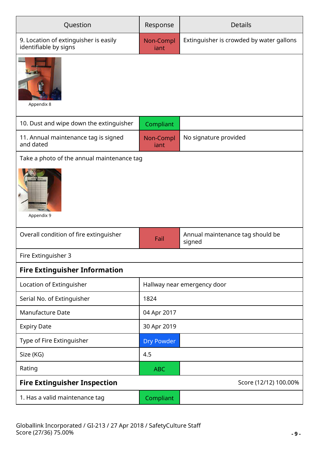| Question                                                       | Response          | <b>Details</b>                             |
|----------------------------------------------------------------|-------------------|--------------------------------------------|
| 9. Location of extinguisher is easily<br>identifiable by signs | Non-Compl<br>iant | Extinguisher is crowded by water gallons   |
| Appendix 8                                                     |                   |                                            |
| 10. Dust and wipe down the extinguisher                        | Compliant         |                                            |
| 11. Annual maintenance tag is signed<br>and dated              | Non-Compl<br>iant | No signature provided                      |
| Take a photo of the annual maintenance tag<br>Appendix 9       |                   |                                            |
| Overall condition of fire extinguisher                         | Fail              | Annual maintenance tag should be<br>signed |
| Fire Extinguisher 3                                            |                   |                                            |
| <b>Fire Extinguisher Information</b>                           |                   |                                            |
| Location of Extinguisher                                       |                   | Hallway near emergency door                |
| Serial No. of Extinguisher                                     | 1824              |                                            |
| <b>Manufacture Date</b>                                        | 04 Apr 2017       |                                            |
| <b>Expiry Date</b>                                             | 30 Apr 2019       |                                            |
| Type of Fire Extinguisher                                      | <b>Dry Powder</b> |                                            |
| Size (KG)                                                      | 4.5               |                                            |
| Rating                                                         | <b>ABC</b>        |                                            |
| <b>Fire Extinguisher Inspection</b>                            |                   | Score (12/12) 100.00%                      |
| 1. Has a valid maintenance tag                                 | Compliant         |                                            |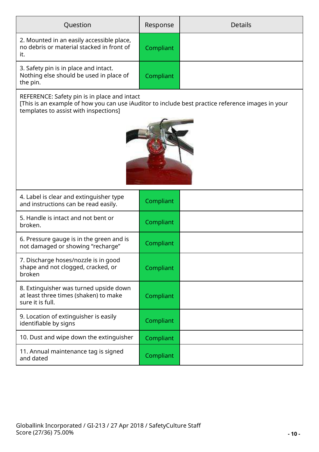| Question                                                                                                                                                                                   | Response  | <b>Details</b> |  |  |
|--------------------------------------------------------------------------------------------------------------------------------------------------------------------------------------------|-----------|----------------|--|--|
| 2. Mounted in an easily accessible place,<br>no debris or material stacked in front of<br>it.                                                                                              | Compliant |                |  |  |
| 3. Safety pin is in place and intact.<br>Nothing else should be used in place of<br>the pin.                                                                                               | Compliant |                |  |  |
| REFERENCE: Safety pin is in place and intact<br>[This is an example of how you can use iAuditor to include best practice reference images in your<br>templates to assist with inspections] |           |                |  |  |
|                                                                                                                                                                                            |           |                |  |  |
| 4. Label is clear and extinguisher type<br>and instructions can be read easily.                                                                                                            | Compliant |                |  |  |
| 5. Handle is intact and not bent or<br>broken.                                                                                                                                             | Compliant |                |  |  |
| 6. Pressure gauge is in the green and is<br>not damaged or showing "recharge"                                                                                                              | Compliant |                |  |  |
| 7. Discharge hoses/nozzle is in good<br>shape and not clogged, cracked, or<br>broken                                                                                                       | Compliant |                |  |  |
| 8. Extinguisher was turned upside down<br>at least three times (shaken) to make<br>Compliant<br>sure it is full.                                                                           |           |                |  |  |
| 9. Location of extinguisher is easily<br>identifiable by signs                                                                                                                             | Compliant |                |  |  |
| 10. Dust and wipe down the extinguisher                                                                                                                                                    | Compliant |                |  |  |
| 11. Annual maintenance tag is signed<br>and dated                                                                                                                                          | Compliant |                |  |  |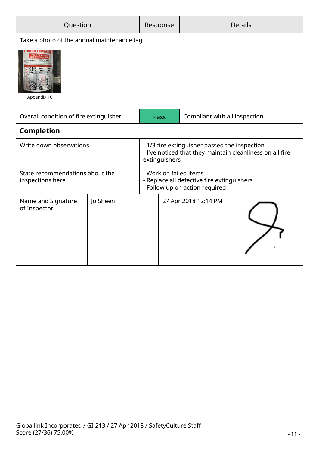| Question                                                                        |          | Response | <b>Details</b>                                                                                                              |                      |  |
|---------------------------------------------------------------------------------|----------|----------|-----------------------------------------------------------------------------------------------------------------------------|----------------------|--|
| Take a photo of the annual maintenance tag                                      |          |          |                                                                                                                             |                      |  |
| Appendix 10                                                                     |          |          |                                                                                                                             |                      |  |
| Compliant with all inspection<br>Overall condition of fire extinguisher<br>Pass |          |          |                                                                                                                             |                      |  |
| <b>Completion</b>                                                               |          |          |                                                                                                                             |                      |  |
| Write down observations                                                         |          |          | - 1/3 fire extinguisher passed the inspection<br>- I've noticed that they maintain cleanliness on all fire<br>extinguishers |                      |  |
| State recommendations about the<br>inspections here                             |          |          | - Work on failed items<br>- Replace all defective fire extinguishers<br>- Follow up on action required                      |                      |  |
| Name and Signature<br>of Inspector                                              | Jo Sheen |          |                                                                                                                             | 27 Apr 2018 12:14 PM |  |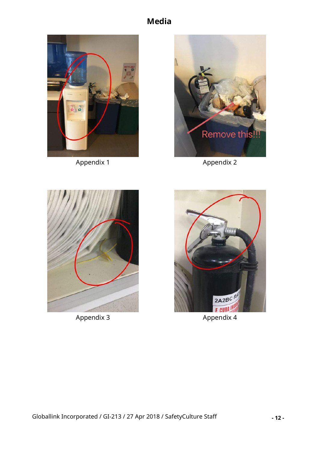### **Media**



Appendix 1 Appendix 2





Appendix 3 Appendix 4

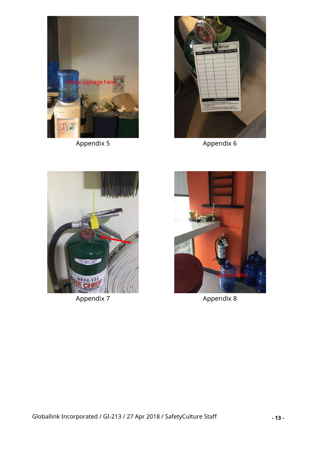



Appendix 5 Appendix 6





Appendix 7 Appendix 8